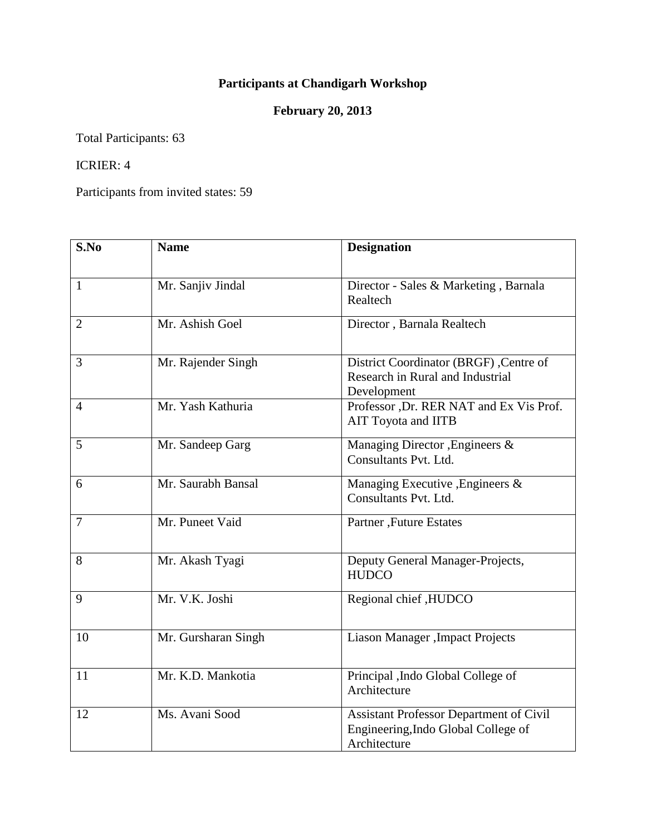## **Participants at Chandigarh Workshop**

## **February 20, 2013**

Total Participants: 63

## ICRIER: 4

Participants from invited states: 59

| S.No           | <b>Name</b>         | <b>Designation</b>                                                                                    |
|----------------|---------------------|-------------------------------------------------------------------------------------------------------|
| $\mathbf{1}$   | Mr. Sanjiv Jindal   | Director - Sales & Marketing, Barnala<br>Realtech                                                     |
| $\overline{2}$ | Mr. Ashish Goel     | Director, Barnala Realtech                                                                            |
| $\overline{3}$ | Mr. Rajender Singh  | District Coordinator (BRGF), Centre of<br>Research in Rural and Industrial<br>Development             |
| $\overline{4}$ | Mr. Yash Kathuria   | Professor ,Dr. RER NAT and Ex Vis Prof.<br>AIT Toyota and IITB                                        |
| 5              | Mr. Sandeep Garg    | Managing Director, Engineers &<br>Consultants Pvt. Ltd.                                               |
| 6              | Mr. Saurabh Bansal  | Managing Executive , Engineers &<br>Consultants Pvt. Ltd.                                             |
| 7              | Mr. Puneet Vaid     | Partner, Future Estates                                                                               |
| 8              | Mr. Akash Tyagi     | Deputy General Manager-Projects,<br><b>HUDCO</b>                                                      |
| 9              | Mr. V.K. Joshi      | Regional chief ,HUDCO                                                                                 |
| 10             | Mr. Gursharan Singh | Liason Manager, Impact Projects                                                                       |
| 11             | Mr. K.D. Mankotia   | Principal , Indo Global College of<br>Architecture                                                    |
| 12             | Ms. Avani Sood      | <b>Assistant Professor Department of Civil</b><br>Engineering, Indo Global College of<br>Architecture |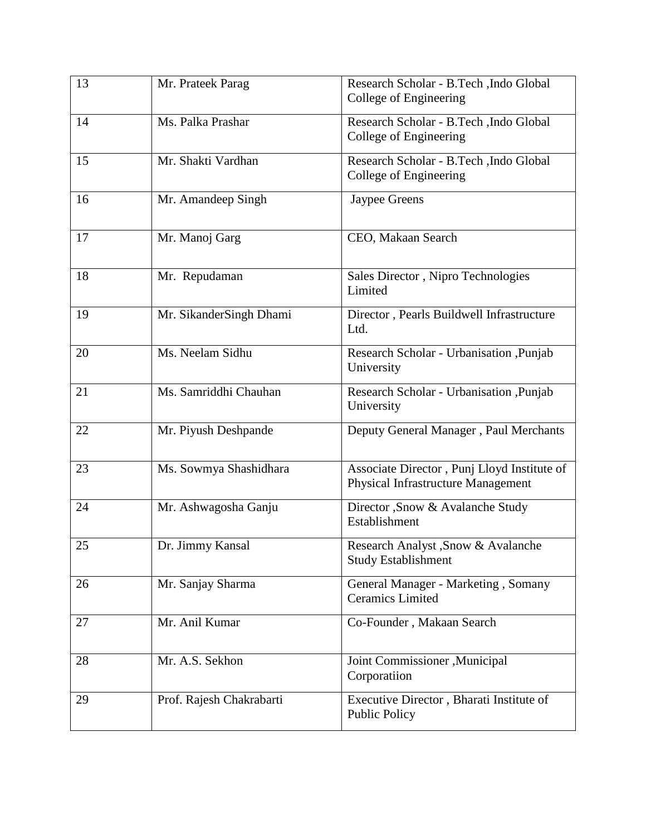| 13 | Mr. Prateek Parag        | Research Scholar - B.Tech , Indo Global<br>College of Engineering                 |
|----|--------------------------|-----------------------------------------------------------------------------------|
| 14 | Ms. Palka Prashar        | Research Scholar - B.Tech , Indo Global<br>College of Engineering                 |
| 15 | Mr. Shakti Vardhan       | Research Scholar - B.Tech , Indo Global<br>College of Engineering                 |
| 16 | Mr. Amandeep Singh       | Jaypee Greens                                                                     |
| 17 | Mr. Manoj Garg           | CEO, Makaan Search                                                                |
| 18 | Mr. Repudaman            | Sales Director, Nipro Technologies<br>Limited                                     |
| 19 | Mr. SikanderSingh Dhami  | Director, Pearls Buildwell Infrastructure<br>Ltd.                                 |
| 20 | Ms. Neelam Sidhu         | Research Scholar - Urbanisation , Punjab<br>University                            |
| 21 | Ms. Samriddhi Chauhan    | Research Scholar - Urbanisation ,Punjab<br>University                             |
| 22 | Mr. Piyush Deshpande     | Deputy General Manager, Paul Merchants                                            |
| 23 | Ms. Sowmya Shashidhara   | Associate Director, Punj Lloyd Institute of<br>Physical Infrastructure Management |
| 24 | Mr. Ashwagosha Ganju     | Director , Snow & Avalanche Study<br>Establishment                                |
| 25 | Dr. Jimmy Kansal         | Research Analyst , Snow & Avalanche<br><b>Study Establishment</b>                 |
| 26 | Mr. Sanjay Sharma        | General Manager - Marketing, Somany<br><b>Ceramics Limited</b>                    |
| 27 | Mr. Anil Kumar           | Co-Founder, Makaan Search                                                         |
| 28 | Mr. A.S. Sekhon          | Joint Commissioner , Municipal<br>Corporatiion                                    |
| 29 | Prof. Rajesh Chakrabarti | Executive Director, Bharati Institute of<br><b>Public Policy</b>                  |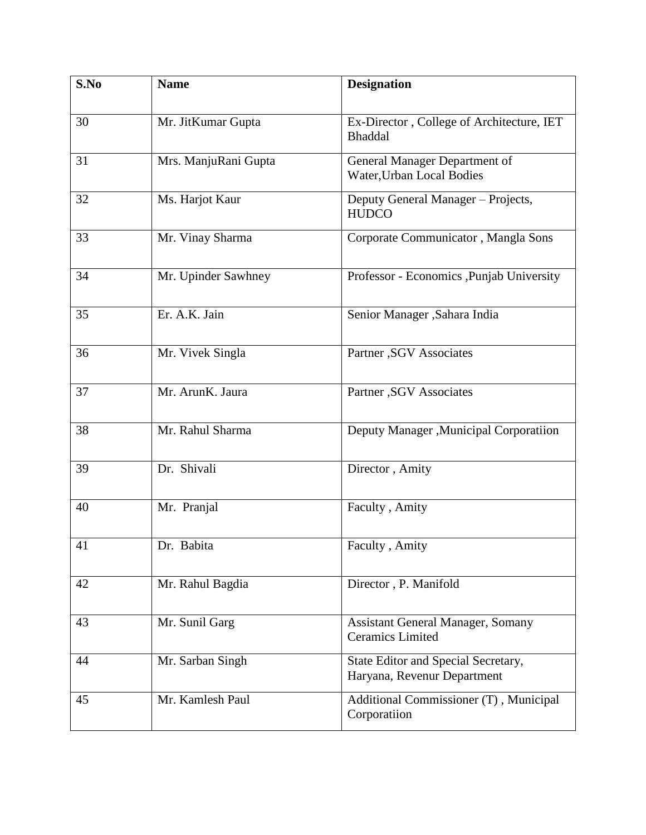| S.No | <b>Name</b>          | <b>Designation</b>                                                  |
|------|----------------------|---------------------------------------------------------------------|
| 30   | Mr. JitKumar Gupta   | Ex-Director, College of Architecture, IET<br><b>Bhaddal</b>         |
| 31   | Mrs. ManjuRani Gupta | General Manager Department of<br>Water, Urban Local Bodies          |
| 32   | Ms. Harjot Kaur      | Deputy General Manager - Projects,<br><b>HUDCO</b>                  |
| 33   | Mr. Vinay Sharma     | Corporate Communicator, Mangla Sons                                 |
| 34   | Mr. Upinder Sawhney  | Professor - Economics , Punjab University                           |
| 35   | Er. A.K. Jain        | Senior Manager , Sahara India                                       |
| 36   | Mr. Vivek Singla     | Partner , SGV Associates                                            |
| 37   | Mr. ArunK. Jaura     | Partner , SGV Associates                                            |
| 38   | Mr. Rahul Sharma     | Deputy Manager , Municipal Corporatiion                             |
| 39   | Dr. Shivali          | Director, Amity                                                     |
| 40   | Mr. Pranjal          | Faculty, Amity                                                      |
| 41   | Dr. Babita           | Faculty, Amity                                                      |
| 42   | Mr. Rahul Bagdia     | Director, P. Manifold                                               |
| 43   | Mr. Sunil Garg       | <b>Assistant General Manager, Somany</b><br><b>Ceramics Limited</b> |
| 44   | Mr. Sarban Singh     | State Editor and Special Secretary,<br>Haryana, Revenur Department  |
| 45   | Mr. Kamlesh Paul     | Additional Commissioner (T), Municipal<br>Corporatiion              |